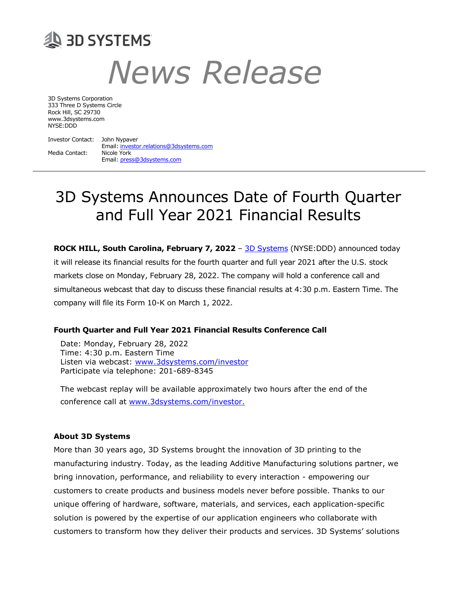## **29 BD SYSTEMS** News Release

3D Systems Corporation 333 Three D Systems Circle Rock Hill, SC 29730 www.3dsystems.com NYSE:DDD

Investor Contact: John Nypaver Email: investor.relations@3dsystems.com Media Contact: Nicole York Email: press@3dsystems.com

## 3D Systems Announces Date of Fourth Quarter and Full Year 2021 Financial Results

ROCK HILL, South Carolina, February 7, 2022 - 3D Systems (NYSE:DDD) announced today it will release its financial results for the fourth quarter and full year 2021 after the U.S. stock markets close on Monday, February 28, 2022. The company will hold a conference call and simultaneous webcast that day to discuss these financial results at 4:30 p.m. Eastern Time. The company will file its Form 10-K on March 1, 2022.

## Fourth Quarter and Full Year 2021 Financial Results Conference Call

Date: Monday, February 28, 2022 Time: 4:30 p.m. Eastern Time Listen via webcast: www.3dsystems.com/investor Participate via telephone: 201-689-8345

The webcast replay will be available approximately two hours after the end of the conference call at www.3dsystems.com/investor.

## About 3D Systems

More than 30 years ago, 3D Systems brought the innovation of 3D printing to the manufacturing industry. Today, as the leading Additive Manufacturing solutions partner, we bring innovation, performance, and reliability to every interaction - empowering our customers to create products and business models never before possible. Thanks to our unique offering of hardware, software, materials, and services, each application-specific solution is powered by the expertise of our application engineers who collaborate with customers to transform how they deliver their products and services. 3D Systems' solutions